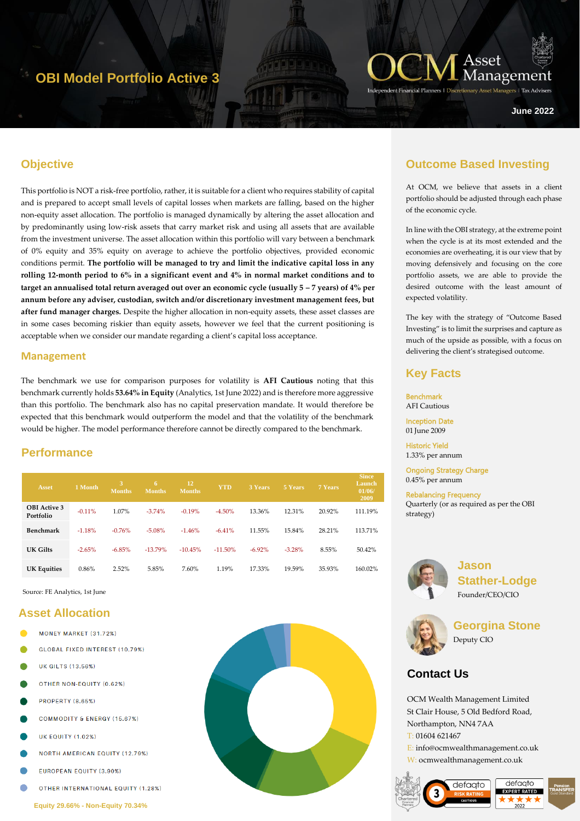# **OBI Model Portfolio Active 3**



ers | Tax Adviser

**June 2022**

## **Objective**

This portfolio is NOT a risk-free portfolio, rather, it is suitable for a client who requires stability of capital and is prepared to accept small levels of capital losses when markets are falling, based on the higher non-equity asset allocation. The portfolio is managed dynamically by altering the asset allocation and by predominantly using low-risk assets that carry market risk and using all assets that are available from the investment universe. The asset allocation within this portfolio will vary between a benchmark of 0% equity and 35% equity on average to achieve the portfolio objectives, provided economic conditions permit. **The portfolio will be managed to try and limit the indicative capital loss in any rolling 12-month period to 6% in a significant event and 4% in normal market conditions and to target an annualised total return averaged out over an economic cycle (usually**  $5 - 7$  **years) of**  $4\%$  **per annum before any adviser, custodian, switch and/or discretionary investment management fees, but after fund manager charges.** Despite the higher allocation in non-equity assets, these asset classes are in some cases becoming riskier than equity assets, however we feel that the current positioning is acceptable when we consider our mandate regarding a client's capital loss acceptance.

#### **Management**

The benchmark we use for comparison purposes for volatility is **AFI Cautious** noting that this benchmark currently holds **53.64% in Equity** (Analytics, 1st June 2022) and is therefore more aggressive than this portfolio. The benchmark also has no capital preservation mandate. It would therefore be expected that this benchmark would outperform the model and that the volatility of the benchmark would be higher. The model performance therefore cannot be directly compared to the benchmark.

## **Performance**

| <b>Asset</b>                     | 1 Month  | 3<br><b>Months</b> | 6.<br><b>Months</b> | 12<br><b>Months</b> | <b>YTD</b> | 3 Years   | 5 Years  | 7 Years | <b>Since</b><br>Launch<br>01/06/<br>2009 |
|----------------------------------|----------|--------------------|---------------------|---------------------|------------|-----------|----------|---------|------------------------------------------|
| <b>OBI</b> Active 3<br>Portfolio | $-0.11%$ | 1.07%              | $-3.74%$            | $-0.19%$            | $-4.50%$   | 13.36%    | 12.31%   | 20.92%  | 111.19%                                  |
| Benchmark                        | $-1.18%$ | $-0.76%$           | $-5.08%$            | $-1.46%$            | $-6.41%$   | 11.55%    | 15.84%   | 28.21%  | 113.71%                                  |
| UK Gilts                         | $-2.65%$ | $-6.85%$           | $-13.79%$           | $-10.45%$           | $-11.50\%$ | $-6.92\%$ | $-3.28%$ | 8.55%   | 50.42%                                   |
| <b>UK Equities</b>               | 0.86%    | 2.52%              | 5.85%               | 7.60%               | 1.19%      | 17.33%    | 19.59%   | 35.93%  | 160.02%                                  |

Source: FE Analytics, 1st June

#### **Asset Allocation**

- MONEY MARKET (31.72%)
- **GLOBAL FIXED INTEREST (10.79%)**
- **UK GILTS (13.56%)**
- OTHER NON-EQUITY (0.62%)
- **PROPERTY (8.65%)**
- **COMMODITY & ENERGY (15.67%)**
- **UK EQUITY (1.02%)**
- **NORTH AMERICAN EQUITY (12.79%)**
- **EUROPEAN EQUITY (3.90%)**
- OTHER INTERNATIONAL EQUITY (1.28%)



## **Outcome Based Investing**

At OCM, we believe that assets in a client portfolio should be adjusted through each phase of the economic cycle.

In line with the OBI strategy, at the extreme point when the cycle is at its most extended and the economies are overheating, it is our view that by moving defensively and focusing on the core portfolio assets, we are able to provide the desired outcome with the least amount of expected volatility.

The key with the strategy of "Outcome Based Investing" is to limit the surprises and capture as much of the upside as possible, with a focus on delivering the client's strategised outcome.

#### **Key Facts**

**Benchmark** AFI Cautious

Inception Date 01 June 2009

Historic Yield 1.33% per annum

Ongoing Strategy Charge 0.45% per annum

Rebalancing Frequency Quarterly (or as required as per the OBI strategy)



**Jason Stather-Lodge** Founder/CEO/CIO



**Georgina Stone** Deputy CIO

## **Contact Us**

OCM Wealth Management Limited St Clair House, 5 Old Bedford Road, Northampton, NN4 7AA T: 01604 621467

E: info@ocmwealthmanagement.co.uk W: ocmwealthmanagement.co.uk